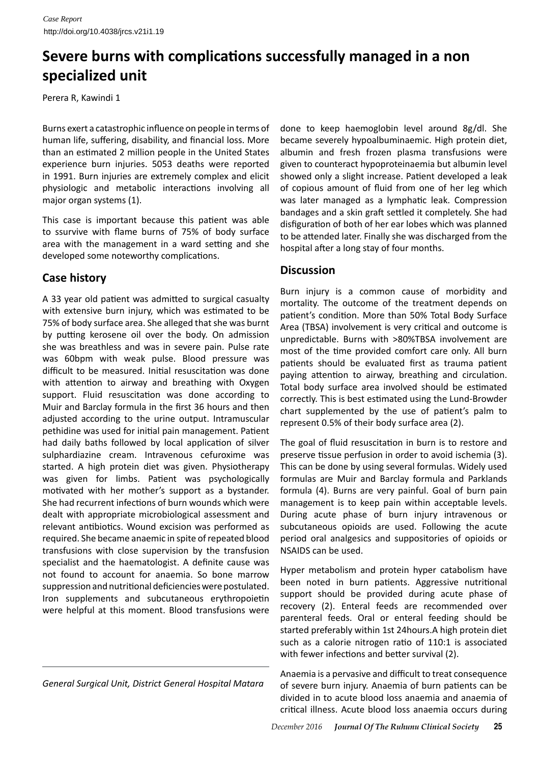## **Severe burns with complications successfully managed in a non specialized unit**

Perera R, Kawindi 1

Burns exert a catastrophic influence on people in terms of human life, suffering, disability, and financial loss. More than an estimated 2 million people in the United States experience burn injuries. 5053 deaths were reported in 1991. Burn injuries are extremely complex and elicit physiologic and metabolic interactions involving all major organ systems (1).

This case is important because this patient was able to ssurvive with flame burns of 75% of body surface area with the management in a ward setting and she developed some noteworthy complications.

## **Case history**

A 33 year old patient was admitted to surgical casualty with extensive burn injury, which was estimated to be 75% of body surface area. She alleged that she was burnt by putting kerosene oil over the body. On admission she was breathless and was in severe pain. Pulse rate was 60bpm with weak pulse. Blood pressure was difficult to be measured. Initial resuscitation was done with attention to airway and breathing with Oxygen support. Fluid resuscitation was done according to Muir and Barclay formula in the first 36 hours and then adjusted according to the urine output. Intramuscular pethidine was used for initial pain management. Patient had daily baths followed by local application of silver sulphardiazine cream. Intravenous cefuroxime was started. A high protein diet was given. Physiotherapy was given for limbs. Patient was psychologically motivated with her mother's support as a bystander. She had recurrent infections of burn wounds which were dealt with appropriate microbiological assessment and relevant antibiotics. Wound excision was performed as required. She became anaemic in spite of repeated blood transfusions with close supervision by the transfusion specialist and the haematologist. A definite cause was not found to account for anaemia. So bone marrow suppression and nutritional deficiencies were postulated. Iron supplements and subcutaneous erythropoietin were helpful at this moment. Blood transfusions were

*General Surgical Unit, District General Hospital Matara*

done to keep haemoglobin level around 8g/dl. She became severely hypoalbuminaemic. High protein diet, albumin and fresh frozen plasma transfusions were given to counteract hypoproteinaemia but albumin level showed only a slight increase. Patient developed a leak of copious amount of fluid from one of her leg which was later managed as a lymphatic leak. Compression bandages and a skin graft settled it completely. She had disfiguration of both of her ear lobes which was planned to be attended later. Finally she was discharged from the hospital after a long stay of four months.

## **Discussion**

Burn injury is a common cause of morbidity and mortality. The outcome of the treatment depends on patient's condition. More than 50% Total Body Surface Area (TBSA) involvement is very critical and outcome is unpredictable. Burns with >80%TBSA involvement are most of the time provided comfort care only. All burn patients should be evaluated first as trauma patient paying attention to airway, breathing and circulation. Total body surface area involved should be estimated correctly. This is best estimated using the Lund-Browder chart supplemented by the use of patient's palm to represent 0.5% of their body surface area (2).

The goal of fluid resuscitation in burn is to restore and preserve tissue perfusion in order to avoid ischemia (3). This can be done by using several formulas. Widely used formulas are Muir and Barclay formula and Parklands formula (4). Burns are very painful. Goal of burn pain management is to keep pain within acceptable levels. During acute phase of burn injury intravenous or subcutaneous opioids are used. Following the acute period oral analgesics and suppositories of opioids or NSAIDS can be used.

Hyper metabolism and protein hyper catabolism have been noted in burn patients. Aggressive nutritional support should be provided during acute phase of recovery (2). Enteral feeds are recommended over parenteral feeds. Oral or enteral feeding should be started preferably within 1st 24hours.A high protein diet such as a calorie nitrogen ratio of 110:1 is associated with fewer infections and better survival (2).

Anaemia is a pervasive and difficult to treat consequence of severe burn injury. Anaemia of burn patients can be divided in to acute blood loss anaemia and anaemia of critical illness. Acute blood loss anaemia occurs during